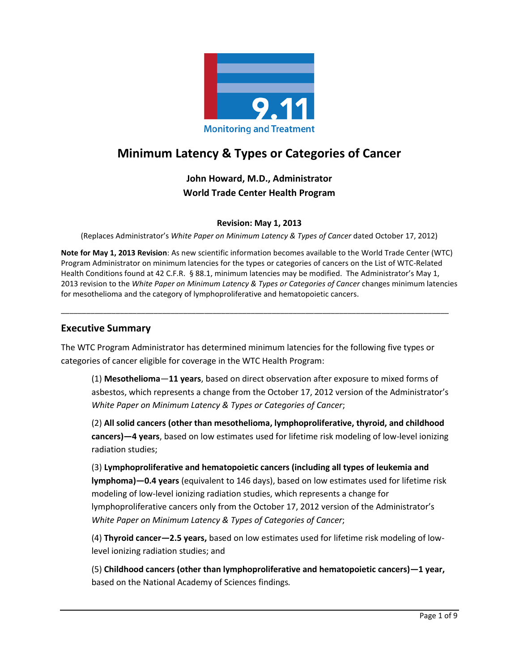

# **Minimum Latency & Types or Categories of Cancer**

**John Howard, M.D., Administrator World Trade Center Health Program** 

#### **Revision: May 1, 2013**

(Replaces Administrator's *White Paper on Minimum Latency & Types of Cancer* dated October 17, 2012)

**Note for May 1, 2013 Revision**: As new scientific information becomes available to the World Trade Center (WTC) Program Administrator on minimum latencies for the types or categories of cancers on the List of WTC-Related Health Conditions found at 42 C.F.R. § 88.1, minimum latencies may be modified. The Administrator's May 1, 2013 revision to the *White Paper on Minimum Latency & Types or Categories of Cancer* changes minimum latencies for mesothelioma and the category of lymphoproliferative and hematopoietic cancers.

\_\_\_\_\_\_\_\_\_\_\_\_\_\_\_\_\_\_\_\_\_\_\_\_\_\_\_\_\_\_\_\_\_\_\_\_\_\_\_\_\_\_\_\_\_\_\_\_\_\_\_\_\_\_\_\_\_\_\_\_\_\_\_\_\_\_\_\_\_\_\_\_\_\_\_\_\_\_\_\_\_\_\_\_\_\_\_\_\_\_\_\_

#### **Executive Summary**

The WTC Program Administrator has determined minimum latencies for the following five types or categories of cancer eligible for coverage in the WTC Health Program:

(1) **Mesothelioma**—**11 years**, based on direct observation after exposure to mixed forms of asbestos, which represents a change from the October 17, 2012 version of the Administrator's *White Paper on Minimum Latency & Types or Categories of Cancer*;

(2) **All solid cancers (other than mesothelioma, lymphoproliferative, thyroid, and childhood cancers)—4 years**, based on low estimates used for lifetime risk modeling of low-level ionizing radiation studies;

(3) **Lymphoproliferative and hematopoietic cancers (including all types of leukemia and lymphoma)—0.4 years** (equivalent to 146 days), based on low estimates used for lifetime risk modeling of low-level ionizing radiation studies, which represents a change for lymphoproliferative cancers only from the October 17, 2012 version of the Administrator's *White Paper on Minimum Latency & Types of Categories of Cancer*;

(4) **Thyroid cancer—2.5 years,** based on low estimates used for lifetime risk modeling of lowlevel ionizing radiation studies; and

(5) **Childhood cancers (other than lymphoproliferative and hematopoietic cancers)—1 year,** based on the National Academy of Sciences findings*.*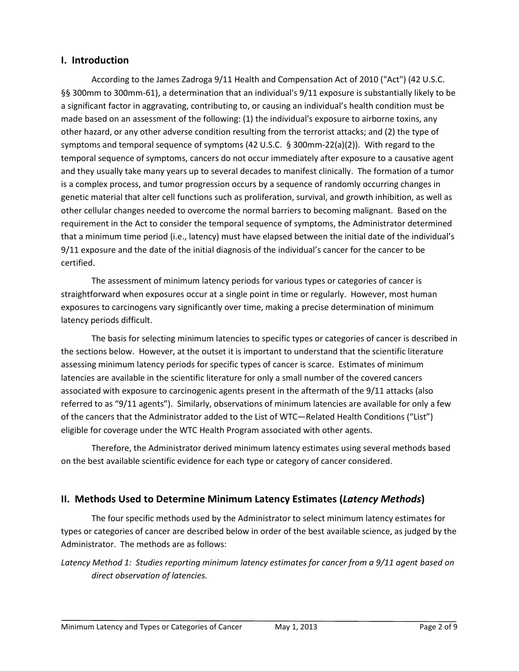## **I. Introduction**

According to the James Zadroga 9/11 Health and Compensation Act of 2010 ("Act") (42 U.S.C. §§ 300mm to 300mm-61), a determination that an individual's 9/11 exposure is substantially likely to be a significant factor in aggravating, contributing to, or causing an individual's health condition must be made based on an assessment of the following: (1) the individual's exposure to airborne toxins, any other hazard, or any other adverse condition resulting from the terrorist attacks; and (2) the type of symptoms and temporal sequence of symptoms (42 U.S.C. § 300mm-22(a)(2)). With regard to the temporal sequence of symptoms, cancers do not occur immediately after exposure to a causative agent and they usually take many years up to several decades to manifest clinically. The formation of a tumor is a complex process, and tumor progression occurs by a sequence of randomly occurring changes in genetic material that alter cell functions such as proliferation, survival, and growth inhibition, as well as other cellular changes needed to overcome the normal barriers to becoming malignant. Based on the requirement in the Act to consider the temporal sequence of symptoms, the Administrator determined that a minimum time period (i.e., latency) must have elapsed between the initial date of the individual's 9/11 exposure and the date of the initial diagnosis of the individual's cancer for the cancer to be certified.

The assessment of minimum latency periods for various types or categories of cancer is straightforward when exposures occur at a single point in time or regularly. However, most human exposures to carcinogens vary significantly over time, making a precise determination of minimum latency periods difficult.

The basis for selecting minimum latencies to specific types or categories of cancer is described in the sections below. However, at the outset it is important to understand that the scientific literature assessing minimum latency periods for specific types of cancer is scarce. Estimates of minimum latencies are available in the scientific literature for only a small number of the covered cancers associated with exposure to carcinogenic agents present in the aftermath of the 9/11 attacks (also referred to as "9/11 agents"). Similarly, observations of minimum latencies are available for only a few of the cancers that the Administrator added to the List of WTC—Related Health Conditions ("List") eligible for coverage under the WTC Health Program associated with other agents.

Therefore, the Administrator derived minimum latency estimates using several methods based on the best available scientific evidence for each type or category of cancer considered.

## **II. Methods Used to Determine Minimum Latency Estimates (***Latency Methods***)**

The four specific methods used by the Administrator to select minimum latency estimates for types or categories of cancer are described below in order of the best available science, as judged by the Administrator. The methods are as follows:

*Latency Method 1: Studies reporting minimum latency estimates for cancer from a 9/11 agent based on direct observation of latencies.*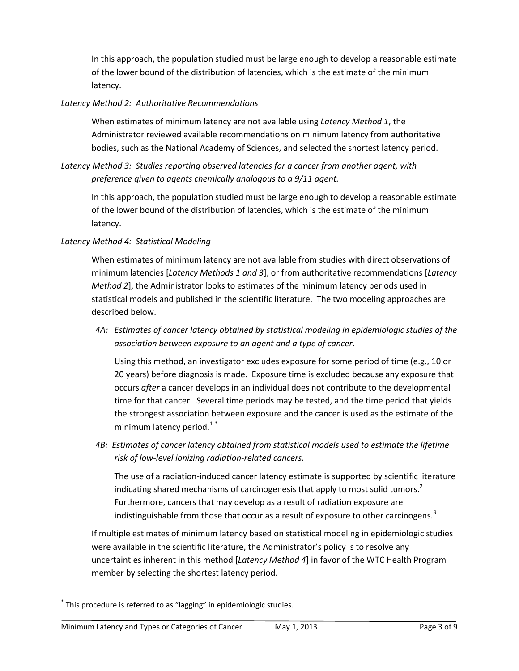In this approach, the population studied must be large enough to develop a reasonable estimate of the lower bound of the distribution of latencies, which is the estimate of the minimum latency.

#### *Latency Method 2: Authoritative Recommendations*

When estimates of minimum latency are not available using *Latency Method 1*, the Administrator reviewed available recommendations on minimum latency from authoritative bodies, such as the National Academy of Sciences, and selected the shortest latency period.

## *Latency Method 3: Studies reporting observed latencies for a cancer from another agent, with preference given to agents chemically analogous to a 9/11 agent.*

In this approach, the population studied must be large enough to develop a reasonable estimate of the lower bound of the distribution of latencies, which is the estimate of the minimum latency.

#### *Latency Method 4: Statistical Modeling*

When estimates of minimum latency are not available from studies with direct observations of minimum latencies [*Latency Methods 1 and 3*], or from authoritative recommendations [*Latency Method 2*], the Administrator looks to estimates of the minimum latency periods used in statistical models and published in the scientific literature. The two modeling approaches are described below.

*4A: Estimates of cancer latency obtained by statistical modeling in epidemiologic studies of the association between exposure to an agent and a type of cancer.* 

Using this method, an investigator excludes exposure for some period of time (e.g., 10 or 20 years) before diagnosis is made. Exposure time is excluded because any exposure that occurs *after* a cancer develops in an individual does not contribute to the developmental time for that cancer. Several time periods may be tested, and the time period that yields the strongest association between exposure and the cancer is used as the estimate of the minimum latency period[.](#page-7-0) $1^*$ 

*4B: Estimates of cancer latency obtained from statistical models used to estimate the lifetime risk of low-level ionizing radiation-related cancers.* 

The use of a radiation-induced cancer latency estimate is supported by scientific literature indicating shared mechanisms of carcinogenesis that apply to most solid tumors. $^2$  $^2$ Furthermore, cancers that may develop as a result of radiation exposure are indistinguishable from those that occur as a result of exposure to other carcinogens. $3$ 

If multiple estimates of minimum latency based on statistical modeling in epidemiologic studies were available in the scientific literature, the Administrator's policy is to resolve any uncertainties inherent in this method [*Latency Method 4*] in favor of the WTC Health Program member by selecting the shortest latency period.

 $\overline{\phantom{a}}$ 

<sup>\*</sup> This procedure is referred to as "lagging" in epidemiologic studies.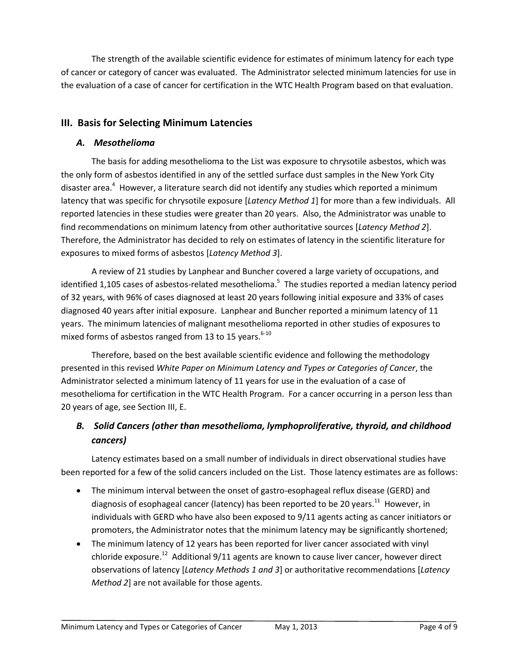The strength of the available scientific evidence for estimates of minimum latency for each type of cancer or category of cancer was evaluated. The Administrator selected minimum latencies for use in the evaluation of a case of cancer for certification in the WTC Health Program based on that evaluation.

# **III. Basis for Selecting Minimum Latencies**

## *A. Mesothelioma*

The basis for adding mesothelioma to the List was exposure to chrysotile asbestos, which was the only form of asbestos identified in any of the settled surface dust samples in the New York City disaster area[.](#page-7-3)<sup>4</sup> However, a literature search did not identify any studies which reported a minimum latency that was specific for chrysotile exposure [*Latency Method 1*] for more than a few individuals. All reported latencies in these studies were greater than 20 years. Also, the Administrator was unable to find recommendations on minimum latency from other authoritative sources [*Latency Method 2*]. Therefore, the Administrator has decided to rely on estimates of latency in the scientific literature for exposures to mixed forms of asbestos [*Latency Method 3*].

A review of 21 studies by Lanphear and Buncher covered a large variety of occupations, and identified 1,10[5](#page-7-4) cases of asbestos-related mesothelioma.<sup>5</sup> The studies reported a median latency period of 32 years, with 96% of cases diagnosed at least 20 years following initial exposure and 33% of cases diagnosed 40 years after initial exposure. Lanphear and Buncher reported a minimum latency of 11 years. The minimum latencies of malignant mesothelioma reported in other studies of exposures to mixed forms of asbestos ranged from 13 to 15 years.<sup>[6-10](#page-7-5)</sup>

Therefore, based on the best available scientific evidence and following the methodology presented in this revised *White Paper on Minimum Latency and Types or Categories of Cancer*, the Administrator selected a minimum latency of 11 years for use in the evaluation of a case of mesothelioma for certification in the WTC Health Program. For a cancer occurring in a person less than 20 years of age, see Section III, E.

# *B. Solid Cancers (other than mesothelioma, lymphoproliferative, thyroid, and childhood cancers)*

Latency estimates based on a small number of individuals in direct observational studies have been reported for a few of the solid cancers included on the List. Those latency estimates are as follows:

- The minimum interval between the onset of gastro-esophageal reflux disease (GERD) and diagnosis of esophageal cancer (latency) has been reported to be 20 years.<sup>[11](#page-7-6)</sup> However, in individuals with GERD who have also been exposed to 9/11 agents acting as cancer initiators or promoters, the Administrator notes that the minimum latency may be significantly shortened;
- The minimum latency of 12 years has been reported for liver cancer associated with vinyl chloride exposure.<sup>[12](#page-7-7)</sup> Additional 9/11 agents are known to cause liver cancer, however direct observations of latency [*Latency Methods 1 and 3*] or authoritative recommendations [*Latency Method 2*] are not available for those agents.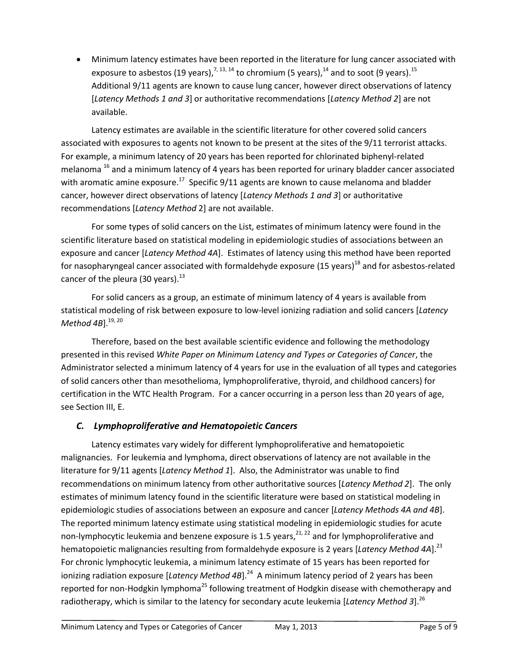Minimum latency estimates have been reported in the literature for lung cancer associated with exposure to asbestos (19 years), $^{7, \, 13, \, 14}$  $^{7, \, 13, \, 14}$  $^{7, \, 13, \, 14}$  $^{7, \, 13, \, 14}$  $^{7, \, 13, \, 14}$  $^{7, \, 13, \, 14}$  $^{7, \, 13, \, 14}$  to chromium (5 years), $^{14}$  $^{14}$  $^{14}$  and to soot (9 years). $^{15}$  $^{15}$  $^{15}$ Additional 9/11 agents are known to cause lung cancer, however direct observations of latency [*Latency Methods 1 and 3*] or authoritative recommendations [*Latency Method 2*] are not available.

Latency estimates are available in the scientific literature for other covered solid cancers associated with exposures to agents not known to be present at the sites of the 9/11 terrorist attacks. For example, a minimum latency of 20 years has been reported for chlorinated biphenyl-related melanoma <sup>[16](#page-7-12)</sup> and a minimum latency of 4 years has been reported for urinary bladder cancer associated with aromatic amine exposure.<sup>[17](#page-7-13)</sup> Specific 9/11 agents are known to cause melanoma and bladder cancer, however direct observations of latency [*Latency Methods 1 and 3*] or authoritative recommendations [*Latency Method* 2] are not available.

For some types of solid cancers on the List, estimates of minimum latency were found in the scientific literature based on statistical modeling in epidemiologic studies of associations between an exposure and cancer [*Latency Method 4A*]. Estimates of latency using this method have been reported for nasopharyngeal cancer associated with formaldehyde exposure (15 years)<sup>[18](#page-8-0)</sup> and for asbestos-related cancer of the pleura (30 years).<sup>[13](#page-7-9)</sup>

For solid cancers as a group, an estimate of minimum latency of 4 years is available from statistical modeling of risk between exposure to low-level ionizing radiation and solid cancers [*Latency Method 4B*]. [19,](#page-8-1) [20](#page-8-2)

Therefore, based on the best available scientific evidence and following the methodology presented in this revised *White Paper on Minimum Latency and Types or Categories of Cancer*, the Administrator selected a minimum latency of 4 years for use in the evaluation of all types and categories of solid cancers other than mesothelioma, lymphoproliferative, thyroid, and childhood cancers) for certification in the WTC Health Program. For a cancer occurring in a person less than 20 years of age, see Section III, E.

# *C. Lymphoproliferative and Hematopoietic Cancers*

Latency estimates vary widely for different lymphoproliferative and hematopoietic malignancies. For leukemia and lymphoma, direct observations of latency are not available in the literature for 9/11 agents [*Latency Method 1*]. Also, the Administrator was unable to find recommendations on minimum latency from other authoritative sources [*Latency Method 2*]. The only estimates of minimum latency found in the scientific literature were based on statistical modeling in epidemiologic studies of associations between an exposure and cancer [*Latency Methods 4A and 4B*]. The reported minimum latency estimate using statistical modeling in epidemiologic studies for acute non-lymphocytic leukemia and benzene exposure is 1.5 years,<sup>[21,](#page-8-3) [22](#page-8-4)</sup> and for lymphoproliferative and hematopoietic malignancies resulting from formaldehyde exposure is 2 years [*Latency Method 4A*]. [23](#page-8-5) For chronic lymphocytic leukemia, a minimum latency estimate of 15 years has been reported for ionizing radiation exposure [*Latency Method 4B*]. [24](#page-8-6) A minimum latency period of 2 years has been reported for non-Hodgkin lymphoma<sup>[25](#page-8-7)</sup> following treatment of Hodgkin disease with chemotherapy and radiotherapy, which is similar to the latency for secondary acute leukemia [*Latency Method 3*]. [26](#page-8-8)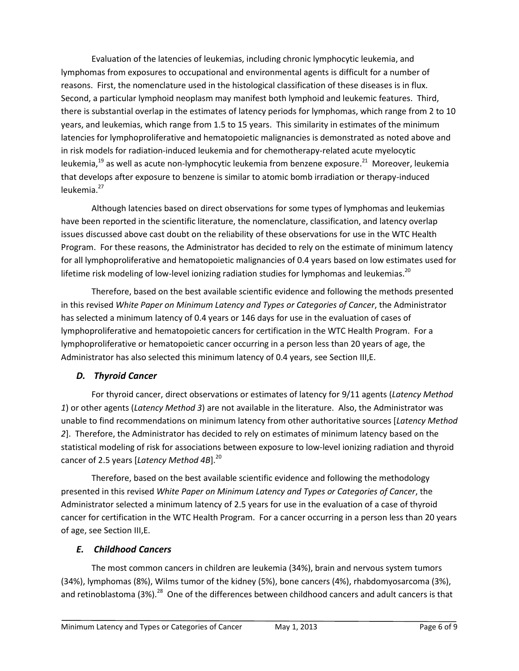Evaluation of the latencies of leukemias, including chronic lymphocytic leukemia, and lymphomas from exposures to occupational and environmental agents is difficult for a number of reasons. First, the nomenclature used in the histological classification of these diseases is in flux. Second, a particular lymphoid neoplasm may manifest both lymphoid and leukemic features. Third, there is substantial overlap in the estimates of latency periods for lymphomas, which range from 2 to 10 years, and leukemias, which range from 1.5 to 15 years. This similarity in estimates of the minimum latencies for lymphoproliferative and hematopoietic malignancies is demonstrated as noted above and in risk models for radiation-induced leukemia and for chemotherapy-related acute myelocytic leukemia,<sup>[19](#page-8-1)</sup> as well as acute non-lymphocytic leukemia from benzene exposure.<sup>[21](#page-8-3)</sup> Moreover, leukemia that develops after exposure to benzene is similar to atomic bomb irradiation or therapy-induced leukemia.<sup>[27](#page-8-9)</sup>

Although latencies based on direct observations for some types of lymphomas and leukemias have been reported in the scientific literature, the nomenclature, classification, and latency overlap issues discussed above cast doubt on the reliability of these observations for use in the WTC Health Program. For these reasons, the Administrator has decided to rely on the estimate of minimum latency for all lymphoproliferative and hematopoietic malignancies of 0.4 years based on low estimates used for lifetime risk modeling of low-level ionizing radiation studies for lymphomas and leukemias.<sup>[20](#page-8-2)</sup>

Therefore, based on the best available scientific evidence and following the methods presented in this revised *White Paper on Minimum Latency and Types or Categories of Cancer*, the Administrator has selected a minimum latency of 0.4 years or 146 days for use in the evaluation of cases of lymphoproliferative and hematopoietic cancers for certification in the WTC Health Program. For a lymphoproliferative or hematopoietic cancer occurring in a person less than 20 years of age, the Administrator has also selected this minimum latency of 0.4 years, see Section III,E.

## *D. Thyroid Cancer*

For thyroid cancer, direct observations or estimates of latency for 9/11 agents (*Latency Method 1*) or other agents (*Latency Method 3*) are not available in the literature. Also, the Administrator was unable to find recommendations on minimum latency from other authoritative sources [*Latency Method 2*]. Therefore, the Administrator has decided to rely on estimates of minimum latency based on the statistical modeling of risk for associations between exposure to low-level ionizing radiation and thyroid cancer of 2.5 years [*Latency Method 4B*]. [20](#page-8-2)

Therefore, based on the best available scientific evidence and following the methodology presented in this revised *White Paper on Minimum Latency and Types or Categories of Cancer*, the Administrator selected a minimum latency of 2.5 years for use in the evaluation of a case of thyroid cancer for certification in the WTC Health Program. For a cancer occurring in a person less than 20 years of age, see Section III,E.

# *E. Childhood Cancers*

The most common cancers in children are leukemia (34%), brain and nervous system tumors (34%), lymphomas (8%), Wilms tumor of the kidney (5%), bone cancers (4%), rhabdomyosarcoma (3%), and retinoblastoma (3%).<sup>[28](#page-8-10)</sup> One of the differences between childhood cancers and adult cancers is that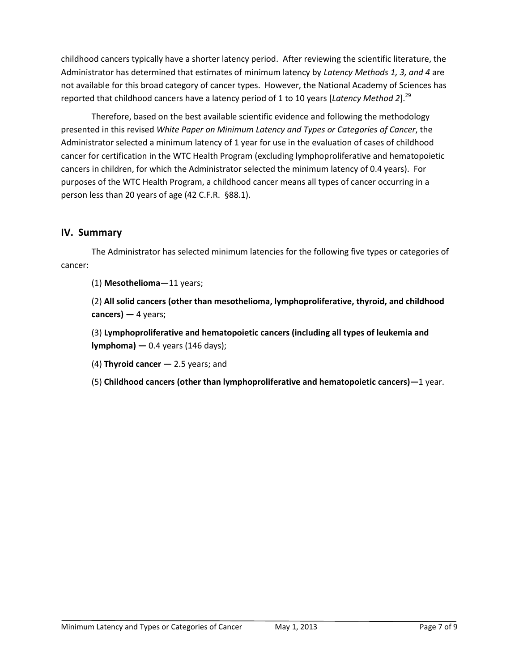childhood cancers typically have a shorter latency period. After reviewing the scientific literature, the Administrator has determined that estimates of minimum latency by *Latency Methods 1, 3, and 4* are not available for this broad category of cancer types. However, the National Academy of Sciences has reported that childhood cancers have a latency period of 1 to 10 years [*Latency Method 2*]. [29](#page-8-11)

Therefore, based on the best available scientific evidence and following the methodology presented in this revised *White Paper on Minimum Latency and Types or Categories of Cancer*, the Administrator selected a minimum latency of 1 year for use in the evaluation of cases of childhood cancer for certification in the WTC Health Program (excluding lymphoproliferative and hematopoietic cancers in children, for which the Administrator selected the minimum latency of 0.4 years). For purposes of the WTC Health Program, a childhood cancer means all types of cancer occurring in a person less than 20 years of age (42 C.F.R. §88.1).

# **IV. Summary**

The Administrator has selected minimum latencies for the following five types or categories of cancer:

(1) **Mesothelioma—**11 years;

(2) **All solid cancers (other than mesothelioma, lymphoproliferative, thyroid, and childhood cancers) —** 4 years;

(3) **Lymphoproliferative and hematopoietic cancers (including all types of leukemia and lymphoma) —** 0.4 years (146 days);

(4) **Thyroid cancer —** 2.5 years; and

(5) **Childhood cancers (other than lymphoproliferative and hematopoietic cancers)—**1 year.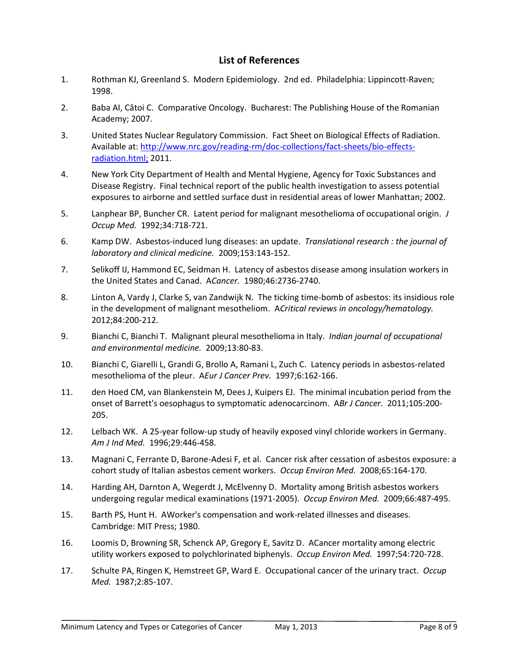# **List of References**

- <span id="page-7-0"></span>1. Rothman KJ, Greenland S. Modern Epidemiology. 2nd ed. Philadelphia: Lippincott-Raven; 1998.
- <span id="page-7-1"></span>2. Baba AI, Câtoi C. Comparative Oncology. Bucharest: The Publishing House of the Romanian Academy; 2007.
- <span id="page-7-2"></span>3. United States Nuclear Regulatory Commission. Fact Sheet on Biological Effects of Radiation. Available at[: http://www.nrc.gov/reading-rm/doc-collections/fact-sheets/bio-effects](http://www.nrc.gov/reading-rm/doc-collections/fact-sheets/bio-effects-radiation.html;)[radiation.html;](http://www.nrc.gov/reading-rm/doc-collections/fact-sheets/bio-effects-radiation.html;) 2011.
- <span id="page-7-3"></span>4. New York City Department of Health and Mental Hygiene, Agency for Toxic Substances and Disease Registry. Final technical report of the public health investigation to assess potential exposures to airborne and settled surface dust in residential areas of lower Manhattan; 2002.
- <span id="page-7-4"></span>5. Lanphear BP, Buncher CR. Latent period for malignant mesothelioma of occupational origin. *J Occup Med.* 1992;34:718-721.
- <span id="page-7-5"></span>6. Kamp DW. Asbestos-induced lung diseases: an update. *Translational research : the journal of laboratory and clinical medicine.* 2009;153:143-152.
- <span id="page-7-8"></span>7. Selikoff IJ, Hammond EC, Seidman H. Latency of asbestos disease among insulation workers in the United States and Canad. A*Cancer.* 1980;46:2736-2740.
- 8. Linton A, Vardy J, Clarke S, van Zandwijk N. The ticking time-bomb of asbestos: its insidious role in the development of malignant mesotheliom. A*Critical reviews in oncology/hematology.*  2012;84:200-212.
- 9. Bianchi C, Bianchi T. Malignant pleural mesothelioma in Italy. *Indian journal of occupational and environmental medicine.* 2009;13:80-83.
- 10. Bianchi C, Giarelli L, Grandi G, Brollo A, Ramani L, Zuch C. Latency periods in asbestos-related mesothelioma of the pleur. A*Eur J Cancer Prev.* 1997;6:162-166.
- <span id="page-7-6"></span>11. den Hoed CM, van Blankenstein M, Dees J, Kuipers EJ. The minimal incubation period from the onset of Barrett's oesophagus to symptomatic adenocarcinom. A*Br J Cancer.* 2011;105:200- 205.
- <span id="page-7-7"></span>12. Lelbach WK. A 25-year follow-up study of heavily exposed vinyl chloride workers in Germany. *Am J Ind Med.* 1996;29:446-458.
- <span id="page-7-9"></span>13. Magnani C, Ferrante D, Barone-Adesi F, et al. Cancer risk after cessation of asbestos exposure: a cohort study of Italian asbestos cement workers. *Occup Environ Med.* 2008;65:164-170.
- <span id="page-7-10"></span>14. Harding AH, Darnton A, Wegerdt J, McElvenny D. Mortality among British asbestos workers undergoing regular medical examinations (1971-2005). *Occup Environ Med.* 2009;66:487-495.
- <span id="page-7-11"></span>15. Barth PS, Hunt H. AWorker's compensation and work-related illnesses and diseases. Cambridge: MIT Press; 1980.
- <span id="page-7-12"></span>16. Loomis D, Browning SR, Schenck AP, Gregory E, Savitz D. ACancer mortality among electric utility workers exposed to polychlorinated biphenyls. *Occup Environ Med.* 1997;54:720-728.
- <span id="page-7-13"></span>17. Schulte PA, Ringen K, Hemstreet GP, Ward E. Occupational cancer of the urinary tract. *Occup Med.* 1987;2:85-107.